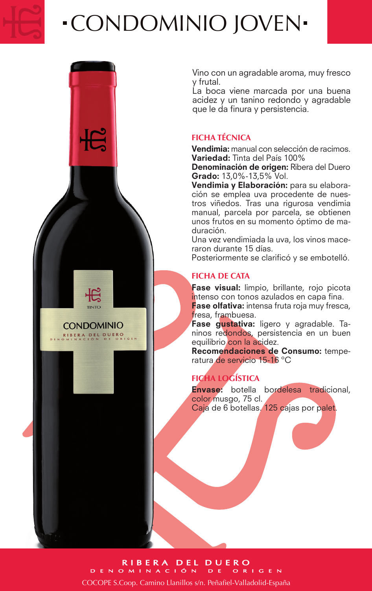

# CONDOMINIO JOVEN

**CONDOMINIO** RIBERA DEL DUERO

Vino con un agradable aroma, muy fresco y frutal.

La boca viene marcada por una buena acidez y un tanino redondo y agradable que le da finura y persistencia.

## **FICHA TÉCNICA**

Vendimia: manual con selección de racimos. Variedad: Tinta del País 100%

Denominación de origen: Ribera del Duero Grado: 13,0%-13,5% Vol.

Vendimia y Elaboración: para su elaboración se emplea uva procedente de nuestros viñedos. Tras una rigurosa vendimia manual, parcela por parcela, se obtienen unos frutos en su momento óptimo de maduración.

Una vez vendimiada la uva, los vinos maceraron durante 15 días.

Posteriormente se clarificó y se embotelló.

## **FICHA DE CATA**

Fase visual: limpio, brillante, rojo picota intenso con tonos azulados en capa fina.

Fase olfativa: intensa fruta roja muy fresca, fresa, frambuesa.

Fase gustativa: ligero y agradable. Taninos redondos, persistencia en un buen equilibrio con la acidez.

Recomendaciones de Consumo: temperatura de servicio 15-16 ºC

# **FICHA LOGÍSTICA**

Envase: botella bordelesa tradicional, color musgo, 75 cl. Caja de 6 botellas. 125 cajas por palet.

#### RIBERA DEL DUERO **DENOMINACIÓN**

COCOPE S.Coop. Camino Llanillos s/n. Peñafiel-Valladolid-España